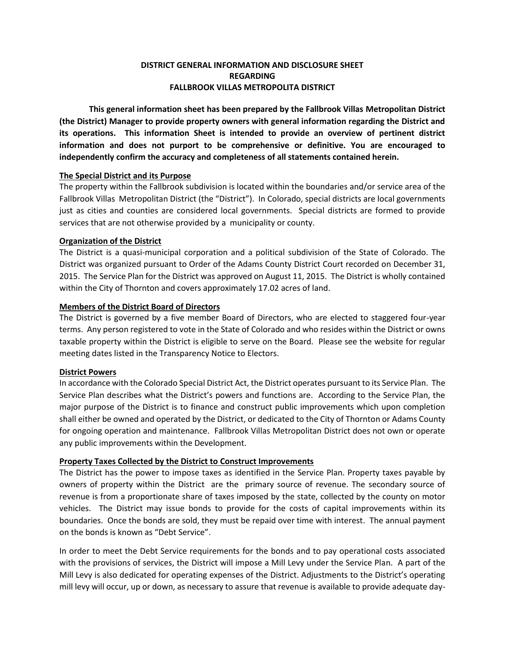## **DISTRICT GENERAL INFORMATION AND DISCLOSURE SHEET REGARDING FALLBROOK VILLAS METROPOLITA DISTRICT**

**This general information sheet has been prepared by the Fallbrook Villas Metropolitan District (the District) Manager to provide property owners with general information regarding the District and its operations. This information Sheet is intended to provide an overview of pertinent district information and does not purport to be comprehensive or definitive. You are encouraged to independently confirm the accuracy and completeness of all statements contained herein.** 

## **The Special District and its Purpose**

The property within the Fallbrook subdivision is located within the boundaries and/or service area of the Fallbrook Villas Metropolitan District (the "District"). In Colorado, special districts are local governments just as cities and counties are considered local governments. Special districts are formed to provide services that are not otherwise provided by a municipality or county.

### **Organization of the District**

The District is a quasi-municipal corporation and a political subdivision of the State of Colorado. The District was organized pursuant to Order of the Adams County District Court recorded on December 31, 2015. The Service Plan for the District was approved on August 11, 2015. The District is wholly contained within the City of Thornton and covers approximately 17.02 acres of land.

### **Members of the District Board of Directors**

The District is governed by a five member Board of Directors, who are elected to staggered four-year terms. Any person registered to vote in the State of Colorado and who resides within the District or owns taxable property within the District is eligible to serve on the Board. Please see the website for regular meeting dates listed in the Transparency Notice to Electors.

#### **District Powers**

In accordance with the Colorado Special District Act, the District operates pursuant to its Service Plan. The Service Plan describes what the District's powers and functions are. According to the Service Plan, the major purpose of the District is to finance and construct public improvements which upon completion shall either be owned and operated by the District, or dedicated to the City of Thornton or Adams County for ongoing operation and maintenance. Fallbrook Villas Metropolitan District does not own or operate any public improvements within the Development.

## **Property Taxes Collected by the District to Construct Improvements**

The District has the power to impose taxes as identified in the Service Plan. Property taxes payable by owners of property within the District are the primary source of revenue. The secondary source of revenue is from a proportionate share of taxes imposed by the state, collected by the county on motor vehicles. The District may issue bonds to provide for the costs of capital improvements within its boundaries. Once the bonds are sold, they must be repaid over time with interest. The annual payment on the bonds is known as "Debt Service".

In order to meet the Debt Service requirements for the bonds and to pay operational costs associated with the provisions of services, the District will impose a Mill Levy under the Service Plan. A part of the Mill Levy is also dedicated for operating expenses of the District. Adjustments to the District's operating mill levy will occur, up or down, as necessary to assure that revenue is available to provide adequate day